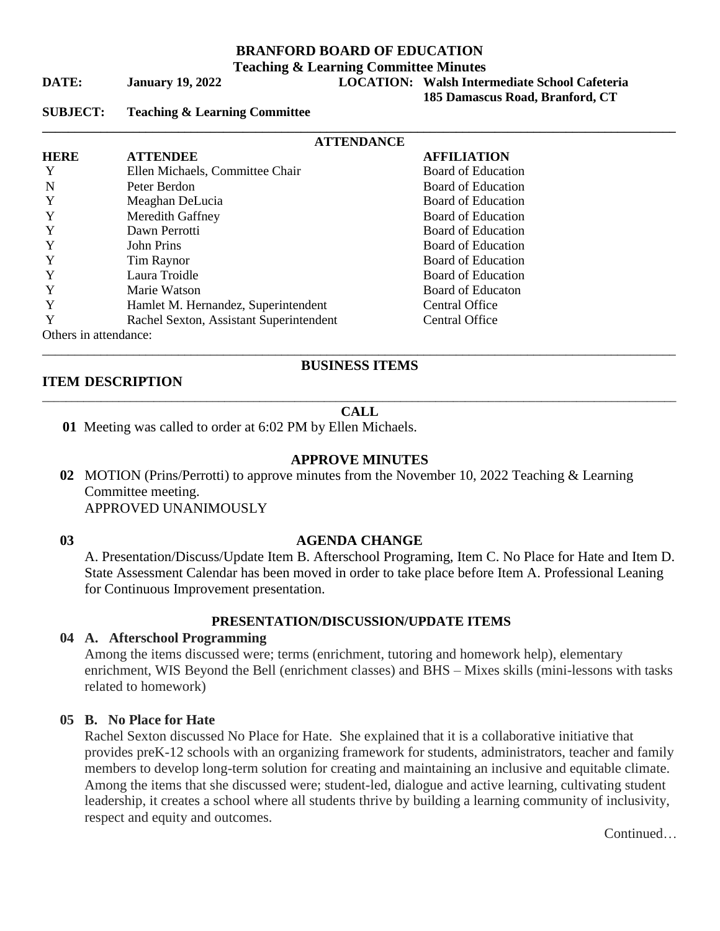## **BRANFORD BOARD OF EDUCATION**

**Teaching & Learning Committee Minutes**

# **DATE: January 19, 2022 LOCATION: Walsh Intermediate School Cafeteria**

 **185 Damascus Road, Branford, CT**

**SUBJECT: Teaching & Learning Committee** 

| <b>ATTENDANCE</b>     |                                         |                           |  |
|-----------------------|-----------------------------------------|---------------------------|--|
| <b>HERE</b>           | <b>ATTENDEE</b>                         | <b>AFFILIATION</b>        |  |
| Y                     | Ellen Michaels, Committee Chair         | Board of Education        |  |
| N                     | Peter Berdon                            | Board of Education        |  |
| Y                     | Meaghan DeLucia                         | Board of Education        |  |
| Y                     | Meredith Gaffney                        | <b>Board of Education</b> |  |
| Y                     | Dawn Perrotti                           | Board of Education        |  |
| Y                     | John Prins                              | Board of Education        |  |
| Y                     | Tim Raynor                              | Board of Education        |  |
|                       | Laura Troidle                           | Board of Education        |  |
|                       | Marie Watson                            | <b>Board of Educaton</b>  |  |
| Y                     | Hamlet M. Hernandez, Superintendent     | Central Office            |  |
| Y                     | Rachel Sexton, Assistant Superintendent | Central Office            |  |
| Others in attendance: |                                         |                           |  |

#### **ITEM DESCRIPTION**

# \_\_\_\_\_\_\_\_\_\_\_\_\_\_\_\_\_\_\_\_\_\_\_\_\_\_\_\_\_\_\_\_\_\_\_\_\_\_\_\_\_\_\_\_\_\_\_\_\_\_\_\_\_\_\_\_\_\_\_\_\_\_\_\_\_\_\_\_\_\_\_\_\_\_\_\_\_\_\_\_\_\_\_\_\_\_\_\_\_\_\_\_\_\_\_\_\_\_ **BUSINESS ITEMS**

#### \_\_\_\_\_\_\_\_\_\_\_\_\_\_\_\_\_\_\_\_\_\_\_\_\_\_\_\_\_\_\_\_\_\_\_\_\_\_\_\_\_\_\_\_\_\_\_\_\_\_\_\_\_\_\_\_\_\_\_\_\_\_\_\_\_\_\_\_\_\_\_\_\_\_\_\_\_\_\_\_\_\_\_\_\_\_\_\_\_\_\_\_\_\_\_\_\_\_\_\_\_\_\_\_\_\_\_\_ **CALL**

**01** Meeting was called to order at 6:02 PM by Ellen Michaels.

#### **APPROVE MINUTES**

**02** MOTION (Prins/Perrotti) to approve minutes from the November 10, 2022 Teaching & Learning Committee meeting. APPROVED UNANIMOUSLY

#### **03 AGENDA CHANGE**

A. Presentation/Discuss/Update Item B. Afterschool Programing, Item C. No Place for Hate and Item D. State Assessment Calendar has been moved in order to take place before Item A. Professional Leaning for Continuous Improvement presentation.

#### **PRESENTATION/DISCUSSION/UPDATE ITEMS**

#### **04 A. Afterschool Programming**

Among the items discussed were; terms (enrichment, tutoring and homework help), elementary enrichment, WIS Beyond the Bell (enrichment classes) and BHS – Mixes skills (mini-lessons with tasks related to homework)

#### **05 B. No Place for Hate**

Rachel Sexton discussed No Place for Hate. She explained that it is a collaborative initiative that provides preK-12 schools with an organizing framework for students, administrators, teacher and family members to develop long-term solution for creating and maintaining an inclusive and equitable climate. Among the items that she discussed were; student-led, dialogue and active learning, cultivating student leadership, it creates a school where all students thrive by building a learning community of inclusivity, respect and equity and outcomes.

Continued…